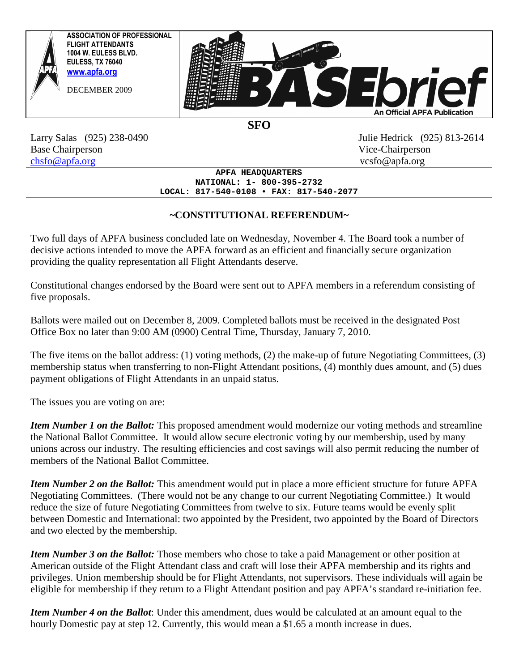

**SFO** 

Base Chairperson Vice-Chairperson chsfo@apfa.org vcsfo@apfa.org

Larry Salas (925) 238-0490 Julie Hedrick (925) 813-2614

**APFA HEADQUARTERS NATIONAL: 1- 800-395-2732 LOCAL: 817-540-0108 • FAX: 817-540-2077**

# **~CONSTITUTIONAL REFERENDUM~**

Two full days of APFA business concluded late on Wednesday, November 4. The Board took a number of decisive actions intended to move the APFA forward as an efficient and financially secure organization providing the quality representation all Flight Attendants deserve.

Constitutional changes endorsed by the Board were sent out to APFA members in a referendum consisting of five proposals.

Ballots were mailed out on December 8, 2009. Completed ballots must be received in the designated Post Office Box no later than 9:00 AM (0900) Central Time, Thursday, January 7, 2010.

The five items on the ballot address: (1) voting methods, (2) the make-up of future Negotiating Committees, (3) membership status when transferring to non-Flight Attendant positions, (4) monthly dues amount, and (5) dues payment obligations of Flight Attendants in an unpaid status.

The issues you are voting on are:

*Item Number 1 on the Ballot:* This proposed amendment would modernize our voting methods and streamline the National Ballot Committee. It would allow secure electronic voting by our membership, used by many unions across our industry. The resulting efficiencies and cost savings will also permit reducing the number of members of the National Ballot Committee.

*Item Number 2 on the Ballot:* This amendment would put in place a more efficient structure for future APFA Negotiating Committees. (There would not be any change to our current Negotiating Committee.) It would reduce the size of future Negotiating Committees from twelve to six. Future teams would be evenly split between Domestic and International: two appointed by the President, two appointed by the Board of Directors and two elected by the membership.

*Item Number 3 on the Ballot:* Those members who chose to take a paid Management or other position at American outside of the Flight Attendant class and craft will lose their APFA membership and its rights and privileges. Union membership should be for Flight Attendants, not supervisors. These individuals will again be eligible for membership if they return to a Flight Attendant position and pay APFA's standard re-initiation fee.

*Item Number 4 on the Ballot*: Under this amendment, dues would be calculated at an amount equal to the hourly Domestic pay at step 12. Currently, this would mean a \$1.65 a month increase in dues.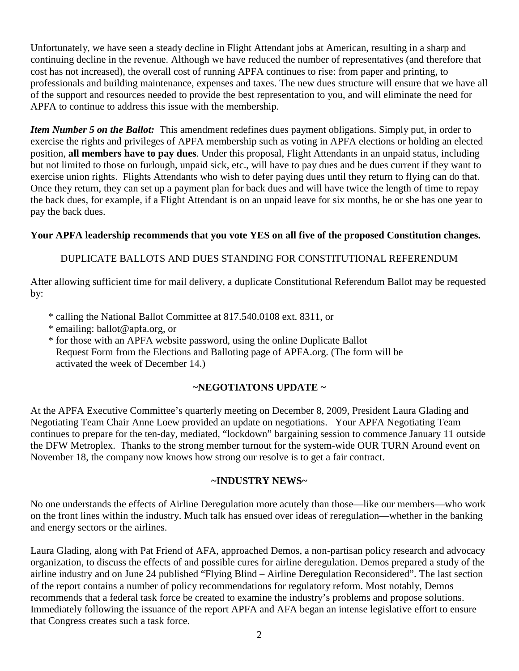Unfortunately, we have seen a steady decline in Flight Attendant jobs at American, resulting in a sharp and continuing decline in the revenue. Although we have reduced the number of representatives (and therefore that cost has not increased), the overall cost of running APFA continues to rise: from paper and printing, to professionals and building maintenance, expenses and taxes. The new dues structure will ensure that we have all of the support and resources needed to provide the best representation to you, and will eliminate the need for APFA to continue to address this issue with the membership.

*Item Number 5 on the Ballot:* This amendment redefines dues payment obligations. Simply put, in order to exercise the rights and privileges of APFA membership such as voting in APFA elections or holding an elected position, **all members have to pay dues**. Under this proposal, Flight Attendants in an unpaid status, including but not limited to those on furlough, unpaid sick, etc., will have to pay dues and be dues current if they want to exercise union rights. Flights Attendants who wish to defer paying dues until they return to flying can do that. Once they return, they can set up a payment plan for back dues and will have twice the length of time to repay the back dues, for example, if a Flight Attendant is on an unpaid leave for six months, he or she has one year to pay the back dues.

#### **Your APFA leadership recommends that you vote YES on all five of the proposed Constitution changes.**

# DUPLICATE BALLOTS AND DUES STANDING FOR CONSTITUTIONAL REFERENDUM

After allowing sufficient time for mail delivery, a duplicate Constitutional Referendum Ballot may be requested by:

- \* calling the National Ballot Committee at 817.540.0108 ext. 8311, or
- \* emailing: ballot@apfa.org, or
- \* for those with an APFA website password, using the online Duplicate Ballot Request Form from the Elections and Balloting page of APFA.org. (The form will be activated the week of December 14.)

### **~NEGOTIATONS UPDATE ~**

At the APFA Executive Committee's quarterly meeting on December 8, 2009, President Laura Glading and Negotiating Team Chair Anne Loew provided an update on negotiations. Your APFA Negotiating Team continues to prepare for the ten-day, mediated, "lockdown" bargaining session to commence January 11 outside the DFW Metroplex. Thanks to the strong member turnout for the system-wide OUR TURN Around event on November 18, the company now knows how strong our resolve is to get a fair contract.

#### **~INDUSTRY NEWS~**

No one understands the effects of Airline Deregulation more acutely than those—like our members—who work on the front lines within the industry. Much talk has ensued over ideas of reregulation—whether in the banking and energy sectors or the airlines.

Laura Glading, along with Pat Friend of AFA, approached Demos, a non-partisan policy research and advocacy organization, to discuss the effects of and possible cures for airline deregulation. Demos prepared a study of the airline industry and on June 24 published "Flying Blind – Airline Deregulation Reconsidered". The last section of the report contains a number of policy recommendations for regulatory reform. Most notably, Demos recommends that a federal task force be created to examine the industry's problems and propose solutions. Immediately following the issuance of the report APFA and AFA began an intense legislative effort to ensure that Congress creates such a task force.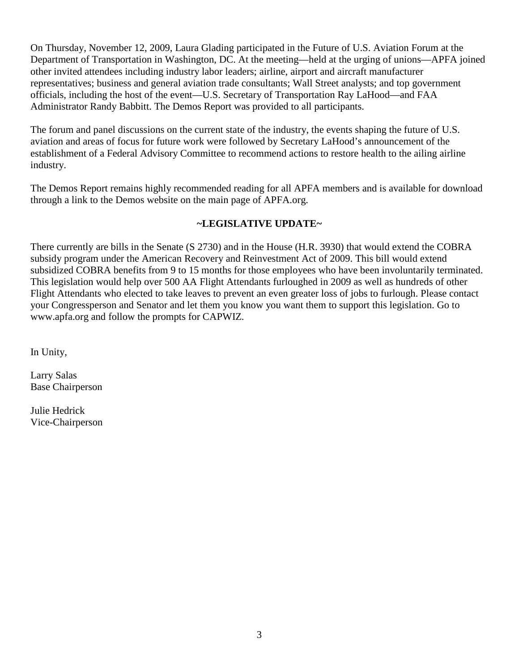On Thursday, November 12, 2009, Laura Glading participated in the Future of U.S. Aviation Forum at the Department of Transportation in Washington, DC. At the meeting—held at the urging of unions—APFA joined other invited attendees including industry labor leaders; airline, airport and aircraft manufacturer representatives; business and general aviation trade consultants; Wall Street analysts; and top government officials, including the host of the event—U.S. Secretary of Transportation Ray LaHood—and FAA Administrator Randy Babbitt. The Demos Report was provided to all participants.

The forum and panel discussions on the current state of the industry, the events shaping the future of U.S. aviation and areas of focus for future work were followed by Secretary LaHood's announcement of the establishment of a Federal Advisory Committee to recommend actions to restore health to the ailing airline industry.

The Demos Report remains highly recommended reading for all APFA members and is available for download through a link to the Demos website on the main page of APFA.org.

# **~LEGISLATIVE UPDATE~**

There currently are bills in the Senate (S 2730) and in the House (H.R. 3930) that would extend the COBRA subsidy program under the American Recovery and Reinvestment Act of 2009. This bill would extend subsidized COBRA benefits from 9 to 15 months for those employees who have been involuntarily terminated. This legislation would help over 500 AA Flight Attendants furloughed in 2009 as well as hundreds of other Flight Attendants who elected to take leaves to prevent an even greater loss of jobs to furlough. Please contact your Congressperson and Senator and let them you know you want them to support this legislation. Go to www.apfa.org and follow the prompts for CAPWIZ.

In Unity,

Larry Salas Base Chairperson

Julie Hedrick Vice-Chairperson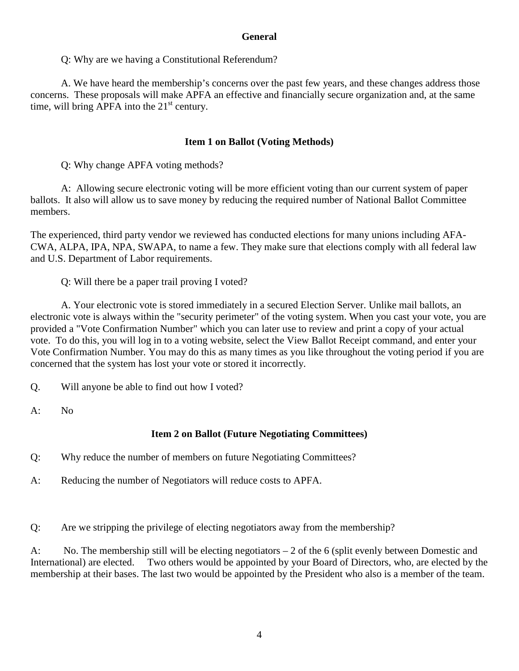#### **General**

Q: Why are we having a Constitutional Referendum?

A. We have heard the membership's concerns over the past few years, and these changes address those concerns. These proposals will make APFA an effective and financially secure organization and, at the same time, will bring APFA into the  $21<sup>st</sup>$  century.

#### **Item 1 on Ballot (Voting Methods)**

Q: Why change APFA voting methods?

A: Allowing secure electronic voting will be more efficient voting than our current system of paper ballots. It also will allow us to save money by reducing the required number of National Ballot Committee members.

The experienced, third party vendor we reviewed has conducted elections for many unions including AFA-CWA, ALPA, IPA, NPA, SWAPA, to name a few. They make sure that elections comply with all federal law and U.S. Department of Labor requirements.

Q: Will there be a paper trail proving I voted?

A. Your electronic vote is stored immediately in a secured Election Server. Unlike mail ballots, an electronic vote is always within the "security perimeter" of the voting system. When you cast your vote, you are provided a "Vote Confirmation Number" which you can later use to review and print a copy of your actual vote. To do this, you will log in to a voting website, select the View Ballot Receipt command, and enter your Vote Confirmation Number. You may do this as many times as you like throughout the voting period if you are concerned that the system has lost your vote or stored it incorrectly.

Q. Will anyone be able to find out how I voted?

A: No

### **Item 2 on Ballot (Future Negotiating Committees)**

Q: Why reduce the number of members on future Negotiating Committees?

A: Reducing the number of Negotiators will reduce costs to APFA.

Q: Are we stripping the privilege of electing negotiators away from the membership?

A: No. The membership still will be electing negotiators – 2 of the 6 (split evenly between Domestic and International) are elected. Two others would be appointed by your Board of Directors, who, are elected by the membership at their bases. The last two would be appointed by the President who also is a member of the team.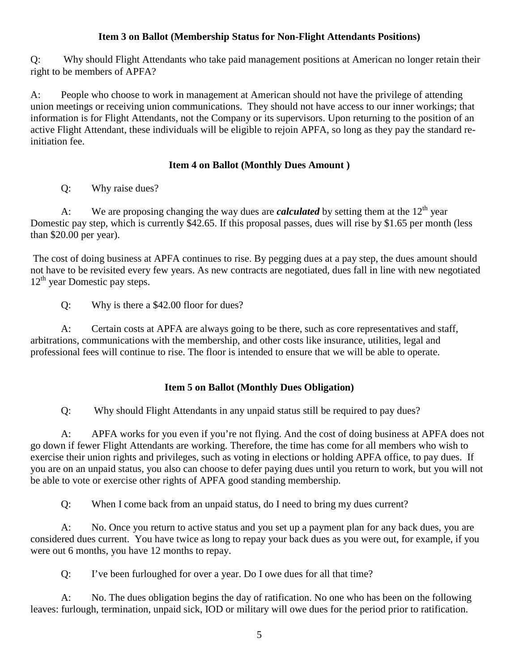### **Item 3 on Ballot (Membership Status for Non-Flight Attendants Positions)**

Q: Why should Flight Attendants who take paid management positions at American no longer retain their right to be members of APFA?

A: People who choose to work in management at American should not have the privilege of attending union meetings or receiving union communications. They should not have access to our inner workings; that information is for Flight Attendants, not the Company or its supervisors. Upon returning to the position of an active Flight Attendant, these individuals will be eligible to rejoin APFA, so long as they pay the standard reinitiation fee.

### **Item 4 on Ballot (Monthly Dues Amount )**

Q: Why raise dues?

A: We are proposing changing the way dues are *calculated* by setting them at the  $12<sup>th</sup>$  year Domestic pay step, which is currently \$42.65. If this proposal passes, dues will rise by \$1.65 per month (less than \$20.00 per year).

 The cost of doing business at APFA continues to rise. By pegging dues at a pay step, the dues amount should not have to be revisited every few years. As new contracts are negotiated, dues fall in line with new negotiated  $12<sup>th</sup>$  year Domestic pay steps.

Q: Why is there a \$42.00 floor for dues?

A: Certain costs at APFA are always going to be there, such as core representatives and staff, arbitrations, communications with the membership, and other costs like insurance, utilities, legal and professional fees will continue to rise. The floor is intended to ensure that we will be able to operate.

# **Item 5 on Ballot (Monthly Dues Obligation)**

Q: Why should Flight Attendants in any unpaid status still be required to pay dues?

A: APFA works for you even if you're not flying. And the cost of doing business at APFA does not go down if fewer Flight Attendants are working. Therefore, the time has come for all members who wish to exercise their union rights and privileges, such as voting in elections or holding APFA office, to pay dues. If you are on an unpaid status, you also can choose to defer paying dues until you return to work, but you will not be able to vote or exercise other rights of APFA good standing membership.

Q: When I come back from an unpaid status, do I need to bring my dues current?

A: No. Once you return to active status and you set up a payment plan for any back dues, you are considered dues current. You have twice as long to repay your back dues as you were out, for example, if you were out 6 months, you have 12 months to repay.

Q: I've been furloughed for over a year. Do I owe dues for all that time?

 A: No. The dues obligation begins the day of ratification. No one who has been on the following leaves: furlough, termination, unpaid sick, IOD or military will owe dues for the period prior to ratification.